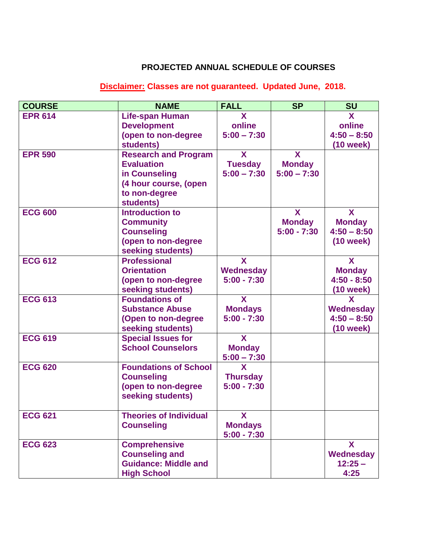## **PROJECTED ANNUAL SCHEDULE OF COURSES**

## **Disclaimer: Classes are not guaranteed. Updated June, 2018.**

| <b>COURSE</b>  | <b>NAME</b>                   | <b>FALL</b>     | <b>SP</b>     | <b>SU</b>     |
|----------------|-------------------------------|-----------------|---------------|---------------|
| <b>EPR 614</b> | <b>Life-span Human</b>        | X               |               | X             |
|                | <b>Development</b>            | online          |               | online        |
|                | (open to non-degree           | $5:00 - 7:30$   |               | $4:50 - 8:50$ |
|                | students)                     |                 |               | $(10$ week)   |
| <b>EPR 590</b> | <b>Research and Program</b>   | X               | X             |               |
|                | <b>Evaluation</b>             | <b>Tuesday</b>  | <b>Monday</b> |               |
|                | in Counseling                 | $5:00 - 7:30$   | $5:00 - 7:30$ |               |
|                | (4 hour course, (open         |                 |               |               |
|                | to non-degree                 |                 |               |               |
|                | students)                     |                 |               |               |
| <b>ECG 600</b> | <b>Introduction to</b>        |                 | X             | X             |
|                | <b>Community</b>              |                 | <b>Monday</b> | <b>Monday</b> |
|                | <b>Counseling</b>             |                 | $5:00 - 7:30$ | $4:50 - 8:50$ |
|                | (open to non-degree           |                 |               | $(10$ week)   |
|                | seeking students)             |                 |               |               |
| <b>ECG 612</b> | <b>Professional</b>           | X               |               | X             |
|                | <b>Orientation</b>            | Wednesday       |               | <b>Monday</b> |
|                | (open to non-degree           | $5:00 - 7:30$   |               | $4:50 - 8:50$ |
|                | seeking students)             |                 |               | (10 week)     |
| <b>ECG 613</b> | <b>Foundations of</b>         | X               |               | X             |
|                | <b>Substance Abuse</b>        | <b>Mondays</b>  |               | Wednesday     |
|                | (Open to non-degree           | $5:00 - 7:30$   |               | $4:50 - 8:50$ |
|                | seeking students)             |                 |               | (10 week)     |
| <b>ECG 619</b> | <b>Special Issues for</b>     | X               |               |               |
|                | <b>School Counselors</b>      | <b>Monday</b>   |               |               |
|                |                               | $5:00 - 7:30$   |               |               |
| <b>ECG 620</b> | <b>Foundations of School</b>  | X               |               |               |
|                | <b>Counseling</b>             | <b>Thursday</b> |               |               |
|                | (open to non-degree           | $5:00 - 7:30$   |               |               |
|                | seeking students)             |                 |               |               |
| <b>ECG 621</b> | <b>Theories of Individual</b> | X               |               |               |
|                | <b>Counseling</b>             | <b>Mondays</b>  |               |               |
|                |                               | $5:00 - 7:30$   |               |               |
| <b>ECG 623</b> | <b>Comprehensive</b>          |                 |               | X             |
|                | <b>Counseling and</b>         |                 |               | Wednesday     |
|                | <b>Guidance: Middle and</b>   |                 |               | $12:25 -$     |
|                | <b>High School</b>            |                 |               | 4:25          |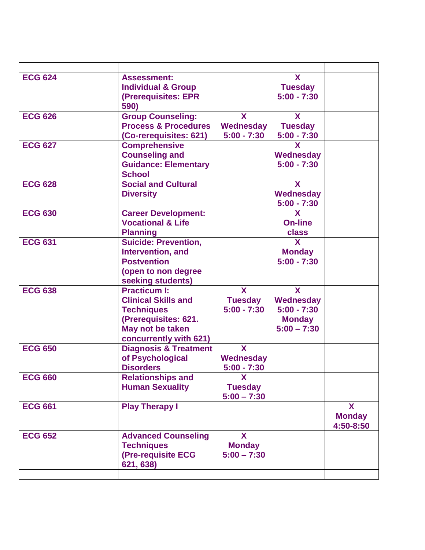| <b>ECG 624</b> | <b>Assessment:</b><br><b>Individual &amp; Group</b><br>(Prerequisites: EPR<br>590)                                                           |                                                 | X<br><b>Tuesday</b><br>$5:00 - 7:30$                              |                                 |
|----------------|----------------------------------------------------------------------------------------------------------------------------------------------|-------------------------------------------------|-------------------------------------------------------------------|---------------------------------|
| <b>ECG 626</b> | <b>Group Counseling:</b><br><b>Process &amp; Procedures</b><br>(Co-rerequisites: 621)                                                        | $\mathbf{x}$<br>Wednesday<br>$5:00 - 7:30$      | X<br><b>Tuesday</b><br>$5:00 - 7:30$                              |                                 |
| <b>ECG 627</b> | <b>Comprehensive</b><br><b>Counseling and</b><br><b>Guidance: Elementary</b><br><b>School</b>                                                |                                                 | X<br>Wednesday<br>$5:00 - 7:30$                                   |                                 |
| <b>ECG 628</b> | <b>Social and Cultural</b><br><b>Diversity</b>                                                                                               |                                                 | X<br>Wednesday<br>$5:00 - 7:30$                                   |                                 |
| <b>ECG 630</b> | <b>Career Development:</b><br><b>Vocational &amp; Life</b><br><b>Planning</b>                                                                |                                                 | X<br><b>On-line</b><br>class                                      |                                 |
| <b>ECG 631</b> | <b>Suicide: Prevention,</b><br>Intervention, and<br><b>Postvention</b><br>(open to non degree<br>seeking students)                           |                                                 | X<br><b>Monday</b><br>$5:00 - 7:30$                               |                                 |
| <b>ECG 638</b> | <b>Practicum I:</b><br><b>Clinical Skills and</b><br><b>Techniques</b><br>(Prerequisites: 621.<br>May not be taken<br>concurrently with 621) | $\mathbf{X}$<br><b>Tuesday</b><br>$5:00 - 7:30$ | X<br>Wednesday<br>$5:00 - 7:30$<br><b>Monday</b><br>$5:00 - 7:30$ |                                 |
| <b>ECG 650</b> | <b>Diagnosis &amp; Treatment</b><br>of Psychological<br><b>Disorders</b>                                                                     | X<br>Wednesday<br>$5:00 - 7:30$                 |                                                                   |                                 |
| <b>ECG 660</b> | <b>Relationships and</b><br><b>Human Sexuality</b>                                                                                           | X<br><b>Tuesday</b><br>$5:00 - 7:30$            |                                                                   |                                 |
| <b>ECG 661</b> | <b>Play Therapy I</b>                                                                                                                        |                                                 |                                                                   | X<br><b>Monday</b><br>4:50-8:50 |
| <b>ECG 652</b> | <b>Advanced Counseling</b><br><b>Techniques</b><br>(Pre-requisite ECG<br>621, 638)                                                           | X<br><b>Monday</b><br>$5:00 - 7:30$             |                                                                   |                                 |
|                |                                                                                                                                              |                                                 |                                                                   |                                 |